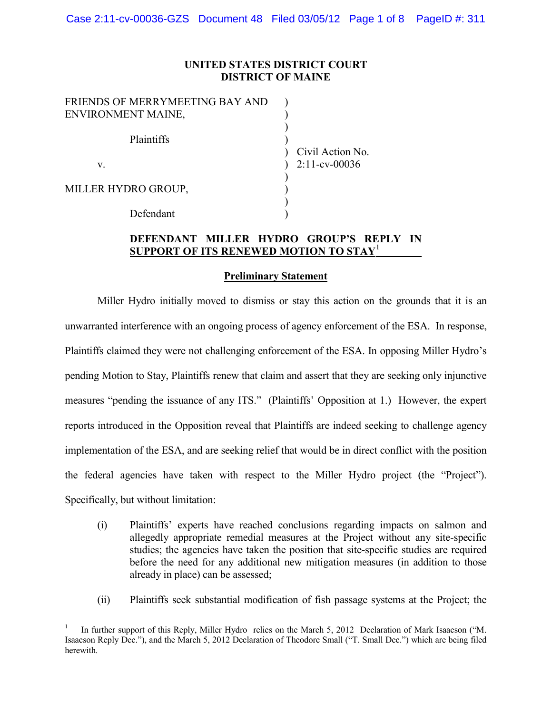## **UNITED STATES DISTRICT COURT DISTRICT OF MAINE**

| FRIENDS OF MERRYMEETING BAY AND |                  |
|---------------------------------|------------------|
| ENVIRONMENT MAINE,              |                  |
| Plaintiffs                      |                  |
|                                 | Civil Action No. |
| V.                              | $2:11$ -cv-00036 |
|                                 |                  |
| MILLER HYDRO GROUP,             |                  |
|                                 |                  |
| Defendant                       |                  |

### **DEFENDANT MILLER HYDRO GROUP'S REPLY IN SUPPORT OF ITS RENEWED MOTION TO STAY**<sup>1</sup>

#### **Preliminary Statement**

Miller Hydro initially moved to dismiss or stay this action on the grounds that it is an unwarranted interference with an ongoing process of agency enforcement of the ESA. In response, Plaintiffs claimed they were not challenging enforcement of the ESA. In opposing Miller Hydro's pending Motion to Stay, Plaintiffs renew that claim and assert that they are seeking only injunctive measures "pending the issuance of any ITS." (Plaintiffs' Opposition at 1.) However, the expert reports introduced in the Opposition reveal that Plaintiffs are indeed seeking to challenge agency implementation of the ESA, and are seeking relief that would be in direct conflict with the position the federal agencies have taken with respect to the Miller Hydro project (the "Project"). Specifically, but without limitation:

- (i) Plaintiffs' experts have reached conclusions regarding impacts on salmon and allegedly appropriate remedial measures at the Project without any site-specific studies; the agencies have taken the position that site-specific studies are required before the need for any additional new mitigation measures (in addition to those already in place) can be assessed;
- (ii) Plaintiffs seek substantial modification of fish passage systems at the Project; the

In further support of this Reply, Miller Hydro relies on the March 5, 2012 Declaration of Mark Isaacson ("M. Isaacson Reply Dec."), and the March 5, 2012 Declaration of Theodore Small ("T. Small Dec.") which are being filed herewith.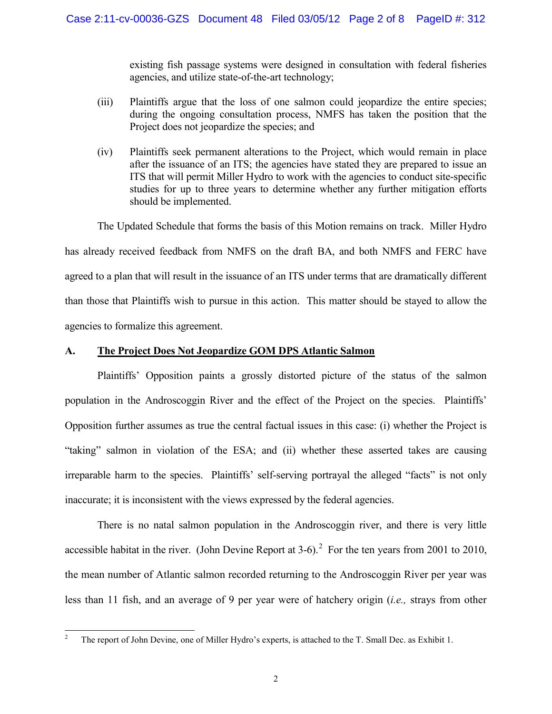existing fish passage systems were designed in consultation with federal fisheries agencies, and utilize state-of-the-art technology;

- (iii) Plaintiffs argue that the loss of one salmon could jeopardize the entire species; during the ongoing consultation process, NMFS has taken the position that the Project does not jeopardize the species; and
- (iv) Plaintiffs seek permanent alterations to the Project, which would remain in place after the issuance of an ITS; the agencies have stated they are prepared to issue an ITS that will permit Miller Hydro to work with the agencies to conduct site-specific studies for up to three years to determine whether any further mitigation efforts should be implemented.

The Updated Schedule that forms the basis of this Motion remains on track. Miller Hydro has already received feedback from NMFS on the draft BA, and both NMFS and FERC have agreed to a plan that will result in the issuance of an ITS under terms that are dramatically different than those that Plaintiffs wish to pursue in this action. This matter should be stayed to allow the agencies to formalize this agreement.

### **A. The Project Does Not Jeopardize GOM DPS Atlantic Salmon**

Plaintiffs' Opposition paints a grossly distorted picture of the status of the salmon population in the Androscoggin River and the effect of the Project on the species. Plaintiffs' Opposition further assumes as true the central factual issues in this case: (i) whether the Project is "taking" salmon in violation of the ESA; and (ii) whether these asserted takes are causing irreparable harm to the species. Plaintiffs' self-serving portrayal the alleged "facts" is not only inaccurate; it is inconsistent with the views expressed by the federal agencies.

There is no natal salmon population in the Androscoggin river, and there is very little accessible habitat in the river. (John Devine Report at  $3-6$ ).<sup>2</sup> For the ten years from 2001 to 2010, the mean number of Atlantic salmon recorded returning to the Androscoggin River per year was less than 11 fish, and an average of 9 per year were of hatchery origin (*i.e.,* strays from other

<sup>&</sup>lt;sup>2</sup> The report of John Devine, one of Miller Hydro's experts, is attached to the T. Small Dec. as Exhibit 1.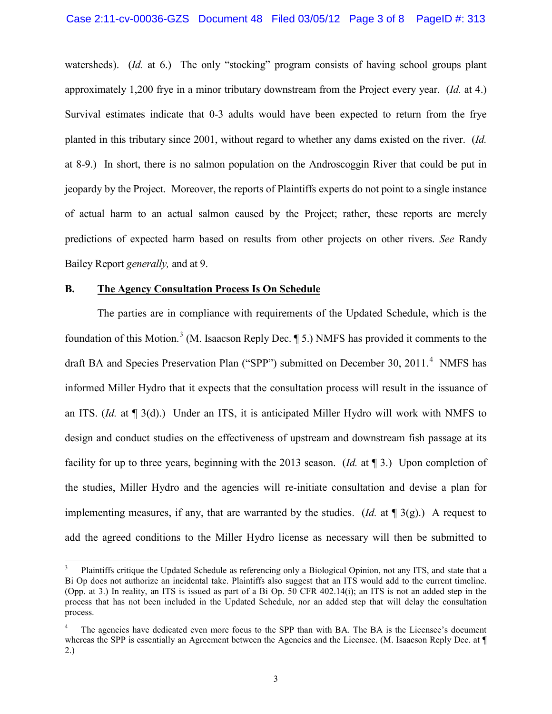watersheds). *(Id. at 6.)* The only "stocking" program consists of having school groups plant approximately 1,200 frye in a minor tributary downstream from the Project every year. (*Id.* at 4.) Survival estimates indicate that 0-3 adults would have been expected to return from the frye planted in this tributary since 2001, without regard to whether any dams existed on the river. (*Id.* at 8-9.) In short, there is no salmon population on the Androscoggin River that could be put in jeopardy by the Project. Moreover, the reports of Plaintiffs experts do not point to a single instance of actual harm to an actual salmon caused by the Project; rather, these reports are merely predictions of expected harm based on results from other projects on other rivers. *See* Randy Bailey Report *generally,* and at 9.

#### **B. The Agency Consultation Process Is On Schedule**

The parties are in compliance with requirements of the Updated Schedule, which is the foundation of this Motion.<sup>3</sup> (M. Isaacson Reply Dec. ¶ 5.) NMFS has provided it comments to the draft BA and Species Preservation Plan ("SPP") submitted on December 30, 2011.<sup>4</sup> NMFS has informed Miller Hydro that it expects that the consultation process will result in the issuance of an ITS. (*Id.* at ¶ 3(d).) Under an ITS, it is anticipated Miller Hydro will work with NMFS to design and conduct studies on the effectiveness of upstream and downstream fish passage at its facility for up to three years, beginning with the 2013 season. (*Id.* at ¶ 3.) Upon completion of the studies, Miller Hydro and the agencies will re-initiate consultation and devise a plan for implementing measures, if any, that are warranted by the studies. (*Id.* at ¶ 3(g).) A request to add the agreed conditions to the Miller Hydro license as necessary will then be submitted to

Plaintiffs critique the Updated Schedule as referencing only a Biological Opinion, not any ITS, and state that a Bi Op does not authorize an incidental take. Plaintiffs also suggest that an ITS would add to the current timeline. (Opp. at 3.) In reality, an ITS is issued as part of a Bi Op. 50 CFR 402.14(i); an ITS is not an added step in the process that has not been included in the Updated Schedule, nor an added step that will delay the consultation process.

The agencies have dedicated even more focus to the SPP than with BA. The BA is the Licensee's document whereas the SPP is essentially an Agreement between the Agencies and the Licensee. (M. Isaacson Reply Dec. at ¶ 2.)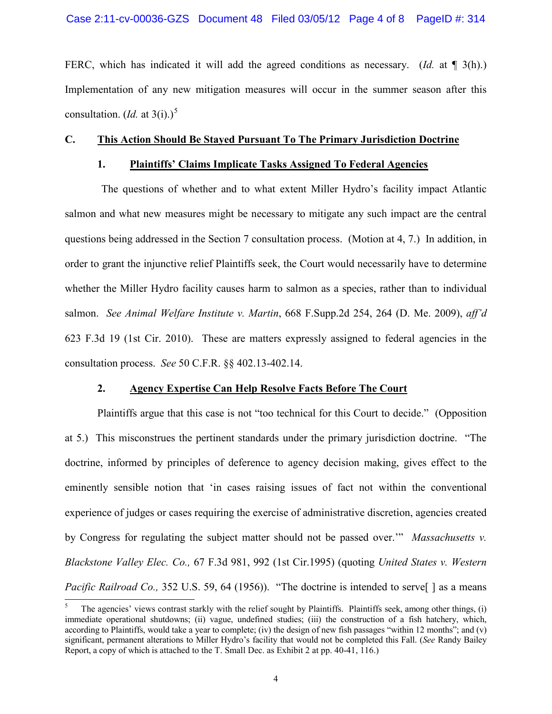FERC, which has indicated it will add the agreed conditions as necessary. (*Id.* at  $\P$  3(h).) Implementation of any new mitigation measures will occur in the summer season after this consultation. (*Id.* at 3(i).)<sup>5</sup>

## **C. This Action Should Be Stayed Pursuant To The Primary Jurisdiction Doctrine**

#### **1. Plaintiffs' Claims Implicate Tasks Assigned To Federal Agencies**

The questions of whether and to what extent Miller Hydro's facility impact Atlantic salmon and what new measures might be necessary to mitigate any such impact are the central questions being addressed in the Section 7 consultation process. (Motion at 4, 7.) In addition, in order to grant the injunctive relief Plaintiffs seek, the Court would necessarily have to determine whether the Miller Hydro facility causes harm to salmon as a species, rather than to individual salmon. *See Animal Welfare Institute v. Martin*, 668 F.Supp.2d 254, 264 (D. Me. 2009), *aff'd* 623 F.3d 19 (1st Cir. 2010). These are matters expressly assigned to federal agencies in the consultation process. *See* 50 C.F.R. §§ 402.13-402.14.

### **2. Agency Expertise Can Help Resolve Facts Before The Court**

Plaintiffs argue that this case is not "too technical for this Court to decide." (Opposition at 5.) This misconstrues the pertinent standards under the primary jurisdiction doctrine. "The doctrine, informed by principles of deference to agency decision making, gives effect to the eminently sensible notion that 'in cases raising issues of fact not within the conventional experience of judges or cases requiring the exercise of administrative discretion, agencies created by Congress for regulating the subject matter should not be passed over.'" *Massachusetts v. Blackstone Valley Elec. Co.,* 67 F.3d 981, 992 (1st Cir.1995) (quoting *United States v. Western Pacific Railroad Co.,* 352 U.S. 59, 64 (1956)). "The doctrine is intended to serve<sup>[</sup>] as a means

The agencies' views contrast starkly with the relief sought by Plaintiffs. Plaintiffs seek, among other things, (i) immediate operational shutdowns; (ii) vague, undefined studies; (iii) the construction of a fish hatchery, which, according to Plaintiffs, would take a year to complete; (iv) the design of new fish passages "within 12 months"; and (v) significant, permanent alterations to Miller Hydro's facility that would not be completed this Fall. (*See* Randy Bailey Report, a copy of which is attached to the T. Small Dec. as Exhibit 2 at pp. 40-41, 116.)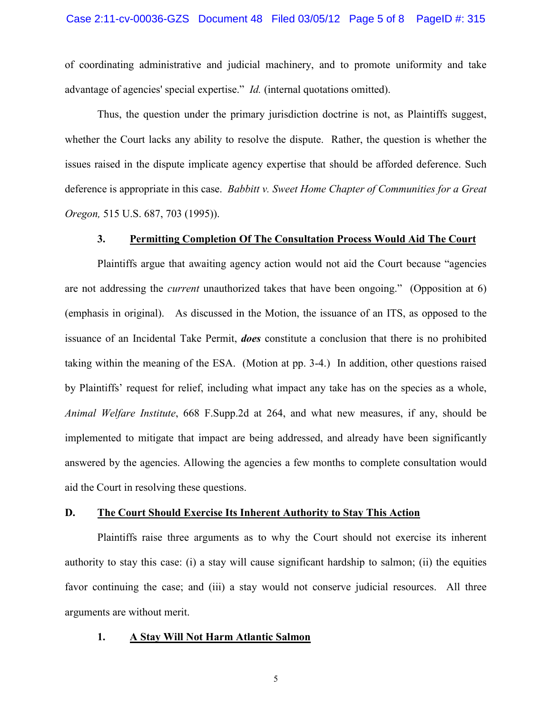of coordinating administrative and judicial machinery, and to promote uniformity and take advantage of agencies' special expertise." *Id.* (internal quotations omitted).

Thus, the question under the primary jurisdiction doctrine is not, as Plaintiffs suggest, whether the Court lacks any ability to resolve the dispute. Rather, the question is whether the issues raised in the dispute implicate agency expertise that should be afforded deference. Such deference is appropriate in this case. *Babbitt v. Sweet Home Chapter of Communities for a Great Oregon,* 515 U.S. 687, 703 (1995)).

### **3. Permitting Completion Of The Consultation Process Would Aid The Court**

Plaintiffs argue that awaiting agency action would not aid the Court because "agencies are not addressing the *current* unauthorized takes that have been ongoing." (Opposition at 6) (emphasis in original). As discussed in the Motion, the issuance of an ITS, as opposed to the issuance of an Incidental Take Permit, *does* constitute a conclusion that there is no prohibited taking within the meaning of the ESA. (Motion at pp. 3-4.) In addition, other questions raised by Plaintiffs' request for relief, including what impact any take has on the species as a whole, *Animal Welfare Institute*, 668 F.Supp.2d at 264, and what new measures, if any, should be implemented to mitigate that impact are being addressed, and already have been significantly answered by the agencies. Allowing the agencies a few months to complete consultation would aid the Court in resolving these questions.

## **D. The Court Should Exercise Its Inherent Authority to Stay This Action**

Plaintiffs raise three arguments as to why the Court should not exercise its inherent authority to stay this case: (i) a stay will cause significant hardship to salmon; (ii) the equities favor continuing the case; and (iii) a stay would not conserve judicial resources. All three arguments are without merit.

#### **1. A Stay Will Not Harm Atlantic Salmon**

5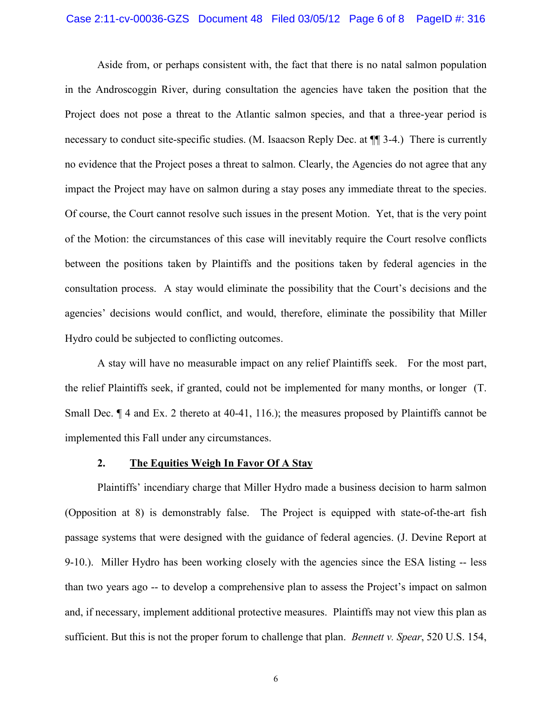Aside from, or perhaps consistent with, the fact that there is no natal salmon population in the Androscoggin River, during consultation the agencies have taken the position that the Project does not pose a threat to the Atlantic salmon species, and that a three-year period is necessary to conduct site-specific studies. (M. Isaacson Reply Dec. at ¶¶ 3-4.) There is currently no evidence that the Project poses a threat to salmon. Clearly, the Agencies do not agree that any impact the Project may have on salmon during a stay poses any immediate threat to the species. Of course, the Court cannot resolve such issues in the present Motion. Yet, that is the very point of the Motion: the circumstances of this case will inevitably require the Court resolve conflicts between the positions taken by Plaintiffs and the positions taken by federal agencies in the consultation process. A stay would eliminate the possibility that the Court's decisions and the agencies' decisions would conflict, and would, therefore, eliminate the possibility that Miller Hydro could be subjected to conflicting outcomes.

A stay will have no measurable impact on any relief Plaintiffs seek. For the most part, the relief Plaintiffs seek, if granted, could not be implemented for many months, or longer (T. Small Dec.  $\P$  4 and Ex. 2 thereto at 40-41, 116.); the measures proposed by Plaintiffs cannot be implemented this Fall under any circumstances.

### **2. The Equities Weigh In Favor Of A Stay**

Plaintiffs' incendiary charge that Miller Hydro made a business decision to harm salmon (Opposition at 8) is demonstrably false. The Project is equipped with state-of-the-art fish passage systems that were designed with the guidance of federal agencies. (J. Devine Report at 9-10.). Miller Hydro has been working closely with the agencies since the ESA listing -- less than two years ago -- to develop a comprehensive plan to assess the Project's impact on salmon and, if necessary, implement additional protective measures. Plaintiffs may not view this plan as sufficient. But this is not the proper forum to challenge that plan. *Bennett v. Spear*, 520 U.S. 154,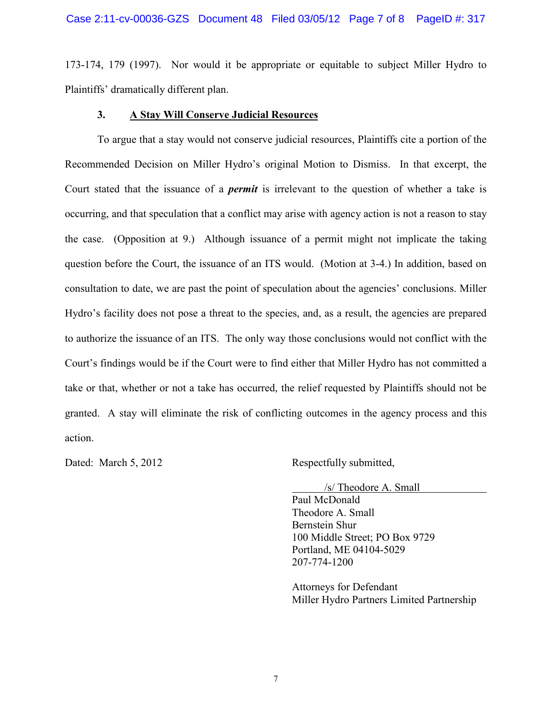173-174, 179 (1997). Nor would it be appropriate or equitable to subject Miller Hydro to Plaintiffs' dramatically different plan.

### **3. A Stay Will Conserve Judicial Resources**

To argue that a stay would not conserve judicial resources, Plaintiffs cite a portion of the Recommended Decision on Miller Hydro's original Motion to Dismiss. In that excerpt, the Court stated that the issuance of a *permit* is irrelevant to the question of whether a take is occurring, and that speculation that a conflict may arise with agency action is not a reason to stay the case. (Opposition at 9.) Although issuance of a permit might not implicate the taking question before the Court, the issuance of an ITS would. (Motion at 3-4.) In addition, based on consultation to date, we are past the point of speculation about the agencies' conclusions. Miller Hydro's facility does not pose a threat to the species, and, as a result, the agencies are prepared to authorize the issuance of an ITS. The only way those conclusions would not conflict with the Court's findings would be if the Court were to find either that Miller Hydro has not committed a take or that, whether or not a take has occurred, the relief requested by Plaintiffs should not be granted. A stay will eliminate the risk of conflicting outcomes in the agency process and this action.

Dated: March 5, 2012 Respectfully submitted,

/s/ Theodore A. Small

Paul McDonald Theodore A. Small Bernstein Shur 100 Middle Street; PO Box 9729 Portland, ME 04104-5029 207-774-1200

Attorneys for Defendant Miller Hydro Partners Limited Partnership